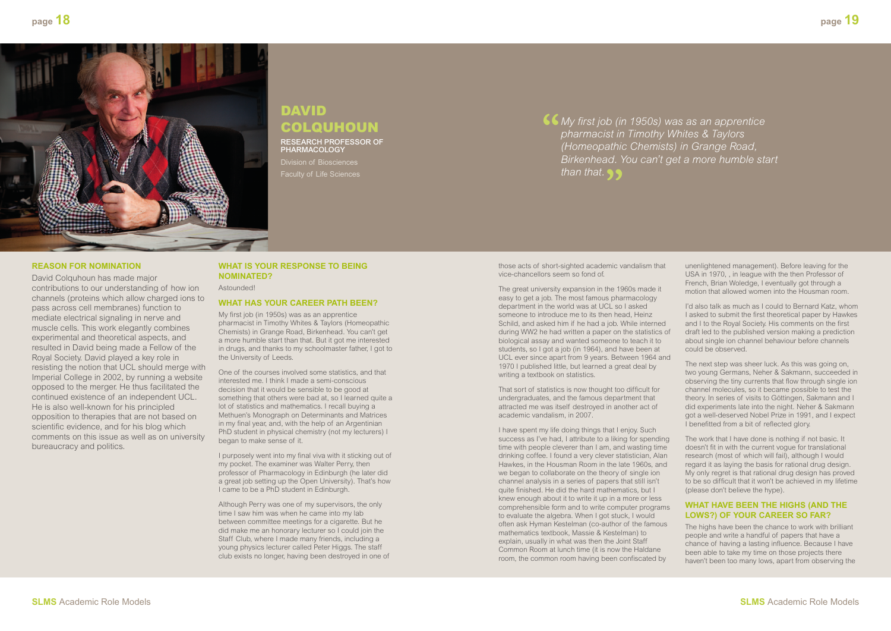

those acts of short-sighted academic vandalism that vice-chancellors seem so fond of.

The great university expansion in the 1960s made it easy to get a job. The most famous pharmacology department in the world was at UCL so I asked someone to introduce me to its then head, Heinz Schild, and asked him if he had a job. While interned during WW2 he had written a paper on the statistics of biological assay and wanted someone to teach it to students, so I got a job (in 1964), and have been at UCL ever since apart from 9 years. Between 1964 and 1970 I published little, but learned a great deal by writing a textbook on statistics.

That sort of statistics is now thought too difficult for undergraduates, and the famous department that attracted me was itself destroyed in another act of academic vandalism, in 2007.

I'd also talk as much as I could to Bernard Katz, whom I asked to submit the first theoretical paper by Hawkes and I to the Royal Society. His comments on the first draft led to the published version making a prediction about single ion channel behaviour before channels could be observed.

I have spent my life doing things that I enjoy. Such success as I've had, I attribute to a liking for spending time with people cleverer than I am, and wasting time drinking coffee. I found a very clever statistician, Alan Hawkes, in the Housman Room in the late 1960s, and we began to collaborate on the theory of single ion channel analysis in a series of papers that still isn't quite finished. He did the hard mathematics, but I knew enough about it to write it up in a more or less comprehensible form and to write computer programs to evaluate the algebra. When I got stuck, I would often ask Hyman Kestelman (co-author of the famous mathematics textbook, Massie & Kestelman) to explain, usually in what was then the Joint Staff Common Room at lunch time (it is now the Haldane room, the common room having been confiscated by

unenlightened management). Before leaving for the USA in 1970, , in league with the then Professor of French, Brian Woledge, I eventually got through a motion that allowed women into the Housman room.

The next step was sheer luck. As this was going on, two young Germans, Neher & Sakmann, succeeded in observing the tiny currents that flow through single ion channel molecules, so it became possible to test the theory. In series of visits to Göttingen, Sakmann and I did experiments late into the night. Neher & Sakmann got a well-deserved Nobel Prize in 1991, and I expect I benefitted from a bit of reflected glory.

The work that I have done is nothing if not basic. It doesn't fit in with the current vogue for translational research (most of which will fail), although I would regard it as laying the basis for rational drug design. My only regret is that rational drug design has proved to be so difficult that it won't be achieved in my lifetime (please don't believe the hype).

#### **WHAT HAVE BEEN THE HIGHS (AND THE LOWS?) OF YOUR CAREER SO FAR?**

The highs have been the chance to work with brilliant people and write a handful of papers that have a chance of having a lasting influence. Because I have been able to take my time on those projects there haven't been too many lows, apart from observing the



### **REASON FOR NOMINATION**

David Colquhoun has made major contributions to our understanding of how ion channels (proteins which allow charged ions to pass across cell membranes) function to mediate electrical signaling in nerve and muscle cells. This work elegantly combines experimental and theoretical aspects, and resulted in David being made a Fellow of the Royal Society. David played a key role in resisting the notion that UCL should merge with Imperial College in 2002, by running a website opposed to the merger. He thus facilitated the continued existence of an independent UCL. He is also well-known for his principled opposition to therapies that are not based on scientific evidence, and for his blog which comments on this issue as well as on university bureaucracy and politics.

## **WHAT IS YOUR RESPONSE TO BEING NOMINATED?**

Astounded!

#### **WHAT HAS YOUR CAREER PATH BEEN?**

My first job (in 1950s) was as an apprentice pharmacist in Timothy Whites & Taylors (Homeopathic Chemists) in Grange Road, Birkenhead. You can't get a more humble start than that. But it got me interested in drugs, and thanks to my schoolmaster father, I got to the University of Leeds.

One of the courses involved some statistics, and that interested me. I think I made a semi-conscious decision that it would be sensible to be good at something that others were bad at, so I learned quite a lot of statistics and mathematics. I recall buying a Methuen's Monograph on Determinants and Matrices in my final year, and, with the help of an Argentinian PhD student in physical chemistry (not my lecturers) I began to make sense of it.

I purposely went into my final viva with it sticking out of my pocket. The examiner was Walter Perry, then professor of Pharmacology in Edinburgh (he later did a great job setting up the Open University). That's how I came to be a PhD student in Edinburgh.

Although Perry was one of my supervisors, the only time I saw him was when he came into my lab between committee meetings for a cigarette. But he did make me an honorary lecturer so I could join the Staff Club, where I made many friends, including a young physics lecturer called Peter Higgs. The staff club exists no longer, having been destroyed in one of

# **DAVID COLQUHOUN**

**RESEARCH PROFESSOR OF PHARMACOLOGY** Division of Biosciences Faculty of Life Sciences

*My first job (in 1950s) was as an apprentice pharmacist in Timothy Whites & Taylors (Homeopathic Chemists) in Grange Road, Birkenhead. You can't get a more humble start than that.* **""**